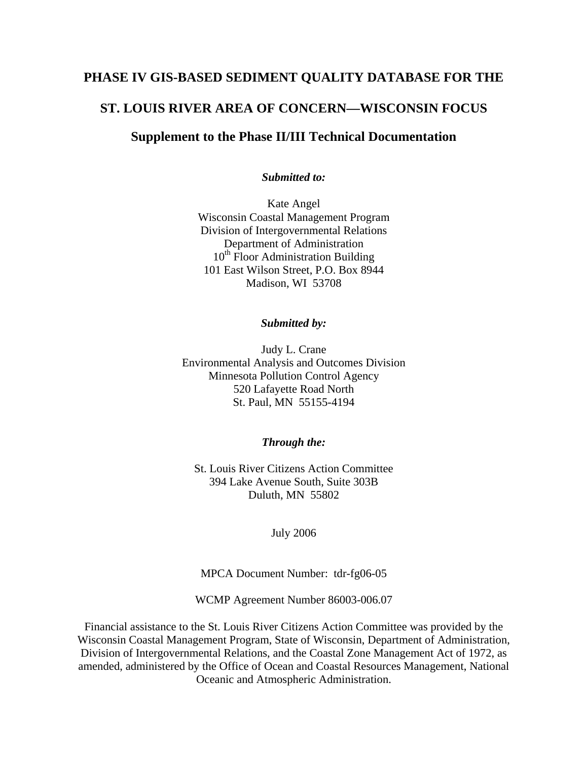### **PHASE IV GIS-BASED SEDIMENT QUALITY DATABASE FOR THE**

### **ST. LOUIS RIVER AREA OF CONCERN—WISCONSIN FOCUS**

### **Supplement to the Phase II/III Technical Documentation**

#### *Submitted to:*

Kate Angel Wisconsin Coastal Management Program Division of Intergovernmental Relations Department of Administration  $10<sup>th</sup>$  Floor Administration Building 101 East Wilson Street, P.O. Box 8944 Madison, WI 53708

#### *Submitted by:*

Judy L. Crane Environmental Analysis and Outcomes Division Minnesota Pollution Control Agency 520 Lafayette Road North St. Paul, MN 55155-4194

#### *Through the:*

St. Louis River Citizens Action Committee 394 Lake Avenue South, Suite 303B Duluth, MN 55802

July 2006

MPCA Document Number:tdr-fg06-05

WCMP Agreement Number 86003-006.07

Financial assistance to the St. Louis River Citizens Action Committee was provided by the Wisconsin Coastal Management Program, State of Wisconsin, Department of Administration, Division of Intergovernmental Relations, and the Coastal Zone Management Act of 1972, as amended, administered by the Office of Ocean and Coastal Resources Management, National Oceanic and Atmospheric Administration.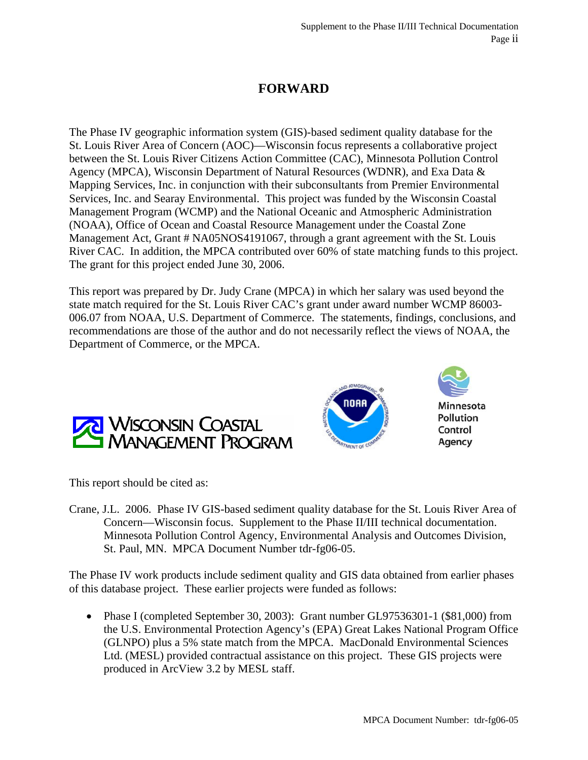# **FORWARD**

The Phase IV geographic information system (GIS)-based sediment quality database for the St. Louis River Area of Concern (AOC)—Wisconsin focus represents a collaborative project between the St. Louis River Citizens Action Committee (CAC), Minnesota Pollution Control Agency (MPCA), Wisconsin Department of Natural Resources (WDNR), and Exa Data & Mapping Services, Inc. in conjunction with their subconsultants from Premier Environmental Services, Inc. and Searay Environmental. This project was funded by the Wisconsin Coastal Management Program (WCMP) and the National Oceanic and Atmospheric Administration (NOAA), Office of Ocean and Coastal Resource Management under the Coastal Zone Management Act, Grant # NA05NOS4191067, through a grant agreement with the St. Louis River CAC. In addition, the MPCA contributed over 60% of state matching funds to this project. The grant for this project ended June 30, 2006.

This report was prepared by Dr. Judy Crane (MPCA) in which her salary was used beyond the state match required for the St. Louis River CAC's grant under award number WCMP 86003- 006.07 from NOAA, U.S. Department of Commerce. The statements, findings, conclusions, and recommendations are those of the author and do not necessarily reflect the views of NOAA, the Department of Commerce, or the MPCA.





**Minnesota** Pollution Control Agency

This report should be cited as:

Crane, J.L. 2006. Phase IV GIS-based sediment quality database for the St. Louis River Area of Concern—Wisconsin focus. Supplement to the Phase II/III technical documentation. Minnesota Pollution Control Agency, Environmental Analysis and Outcomes Division, St. Paul, MN. MPCA Document Number tdr-fg06-05.

The Phase IV work products include sediment quality and GIS data obtained from earlier phases of this database project. These earlier projects were funded as follows:

• Phase I (completed September 30, 2003): Grant number GL97536301-1 (\$81,000) from the U.S. Environmental Protection Agency's (EPA) Great Lakes National Program Office (GLNPO) plus a 5% state match from the MPCA. MacDonald Environmental Sciences Ltd. (MESL) provided contractual assistance on this project. These GIS projects were produced in ArcView 3.2 by MESL staff.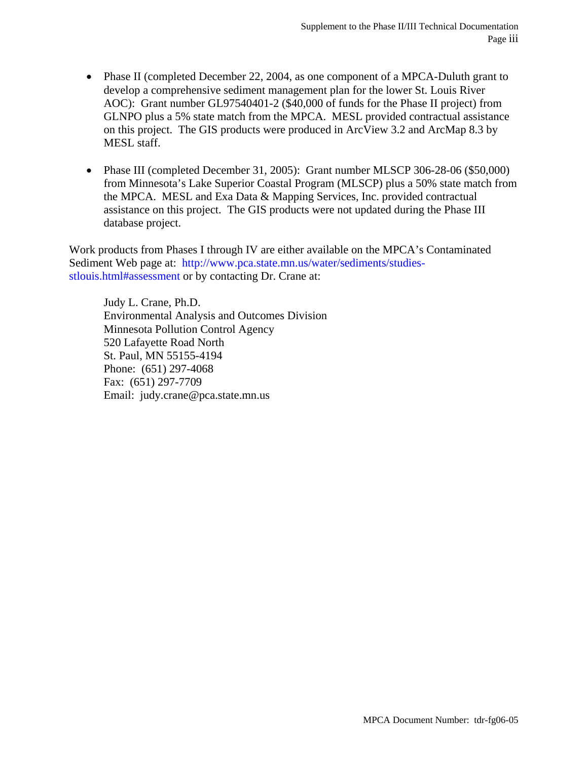- Phase II (completed December 22, 2004, as one component of a MPCA-Duluth grant to develop a comprehensive sediment management plan for the lower St. Louis River AOC): Grant number GL97540401-2 (\$40,000 of funds for the Phase II project) from GLNPO plus a 5% state match from the MPCA. MESL provided contractual assistance on this project. The GIS products were produced in ArcView 3.2 and ArcMap 8.3 by MESL staff.
- Phase III (completed December 31, 2005): Grant number MLSCP 306-28-06 (\$50,000) from Minnesota's Lake Superior Coastal Program (MLSCP) plus a 50% state match from the MPCA. MESL and Exa Data & Mapping Services, Inc. provided contractual assistance on this project. The GIS products were not updated during the Phase III database project.

Work products from Phases I through IV are either available on the MPCA's Contaminated Sediment Web page at: http://www.pca.state.mn.us/water/sediments/studiesstlouis.html#assessment or by contacting Dr. Crane at:

Judy L. Crane, Ph.D. Environmental Analysis and Outcomes Division Minnesota Pollution Control Agency 520 Lafayette Road North St. Paul, MN 55155-4194 Phone: (651) 297-4068 Fax: (651) 297-7709 Email: judy.crane@pca.state.mn.us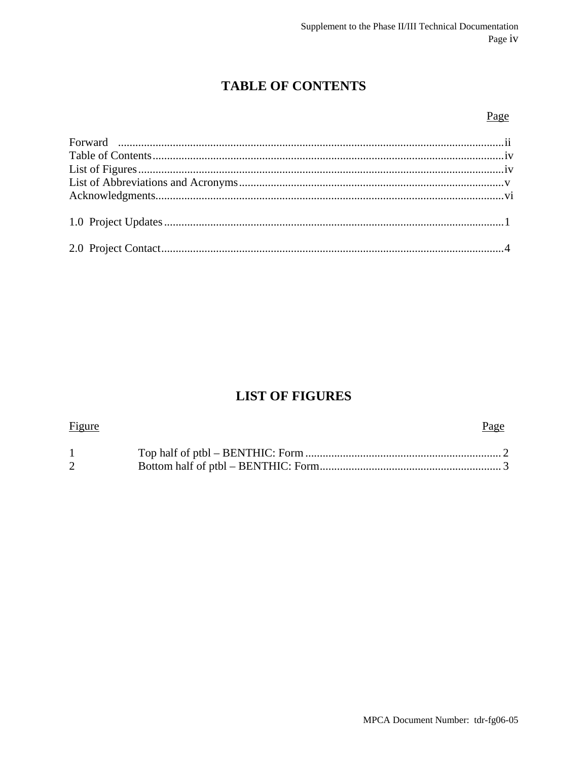# **TABLE OF CONTENTS**

### Page

### **LIST OF FIGURES**

| <b>Figure</b> | Page |
|---------------|------|
|               |      |
|               |      |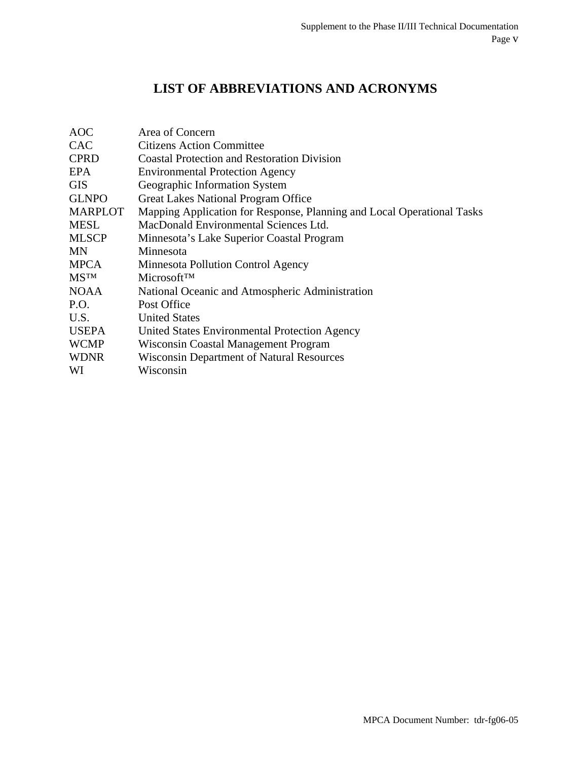## **LIST OF ABBREVIATIONS AND ACRONYMS**

| <b>AOC</b>     | Area of Concern                                                        |
|----------------|------------------------------------------------------------------------|
| <b>CAC</b>     | <b>Citizens Action Committee</b>                                       |
| <b>CPRD</b>    | <b>Coastal Protection and Restoration Division</b>                     |
| EPA            | <b>Environmental Protection Agency</b>                                 |
| <b>GIS</b>     | Geographic Information System                                          |
| <b>GLNPO</b>   | <b>Great Lakes National Program Office</b>                             |
| <b>MARPLOT</b> | Mapping Application for Response, Planning and Local Operational Tasks |
| <b>MESL</b>    | MacDonald Environmental Sciences Ltd.                                  |
| <b>MLSCP</b>   | Minnesota's Lake Superior Coastal Program                              |
| MN             | Minnesota                                                              |
| <b>MPCA</b>    | Minnesota Pollution Control Agency                                     |
| <b>MSTM</b>    | Microsoft <sup>TM</sup>                                                |
| <b>NOAA</b>    | National Oceanic and Atmospheric Administration                        |
| P.O.           | Post Office                                                            |
| U.S.           | <b>United States</b>                                                   |
| <b>USEPA</b>   | United States Environmental Protection Agency                          |
| <b>WCMP</b>    | Wisconsin Coastal Management Program                                   |
| <b>WDNR</b>    | <b>Wisconsin Department of Natural Resources</b>                       |
| WI             | Wisconsin                                                              |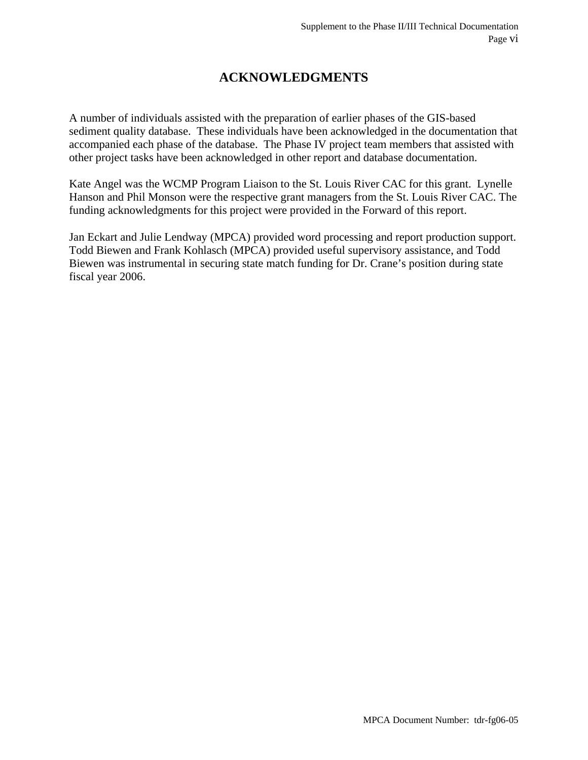### **ACKNOWLEDGMENTS**

A number of individuals assisted with the preparation of earlier phases of the GIS-based sediment quality database. These individuals have been acknowledged in the documentation that accompanied each phase of the database. The Phase IV project team members that assisted with other project tasks have been acknowledged in other report and database documentation.

Kate Angel was the WCMP Program Liaison to the St. Louis River CAC for this grant. Lynelle Hanson and Phil Monson were the respective grant managers from the St. Louis River CAC. The funding acknowledgments for this project were provided in the Forward of this report.

Jan Eckart and Julie Lendway (MPCA) provided word processing and report production support. Todd Biewen and Frank Kohlasch (MPCA) provided useful supervisory assistance, and Todd Biewen was instrumental in securing state match funding for Dr. Crane's position during state fiscal year 2006.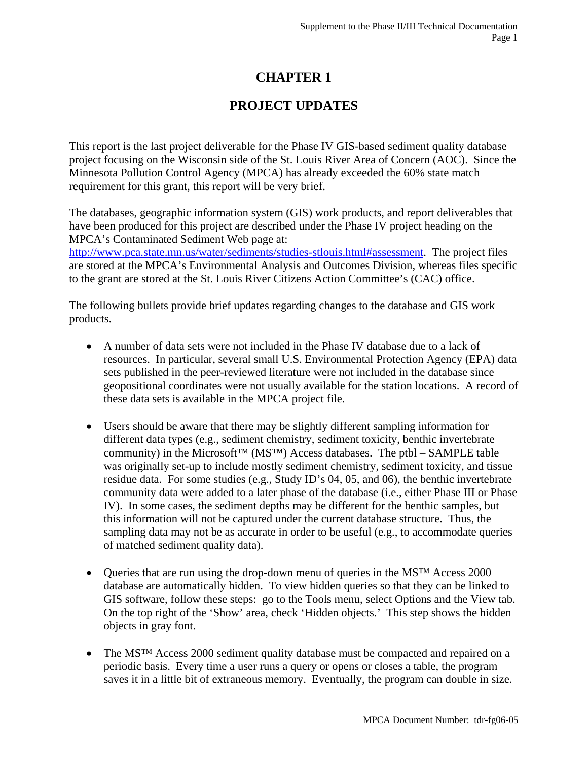### **CHAPTER 1**

### **PROJECT UPDATES**

This report is the last project deliverable for the Phase IV GIS-based sediment quality database project focusing on the Wisconsin side of the St. Louis River Area of Concern (AOC). Since the Minnesota Pollution Control Agency (MPCA) has already exceeded the 60% state match requirement for this grant, this report will be very brief.

The databases, geographic information system (GIS) work products, and report deliverables that have been produced for this project are described under the Phase IV project heading on the MPCA's Contaminated Sediment Web page at:

http://www.pca.state.mn.us/water/sediments/studies-stlouis.html#assessment. The project files are stored at the MPCA's Environmental Analysis and Outcomes Division, whereas files specific to the grant are stored at the St. Louis River Citizens Action Committee's (CAC) office.

The following bullets provide brief updates regarding changes to the database and GIS work products.

- A number of data sets were not included in the Phase IV database due to a lack of resources. In particular, several small U.S. Environmental Protection Agency (EPA) data sets published in the peer-reviewed literature were not included in the database since geopositional coordinates were not usually available for the station locations. A record of these data sets is available in the MPCA project file.
- Users should be aware that there may be slightly different sampling information for different data types (e.g., sediment chemistry, sediment toxicity, benthic invertebrate community) in the Microsoft<sup>™</sup> (MS<sup>™</sup>) Access databases. The ptbl – SAMPLE table was originally set-up to include mostly sediment chemistry, sediment toxicity, and tissue residue data. For some studies (e.g., Study ID's 04, 05, and 06), the benthic invertebrate community data were added to a later phase of the database (i.e., either Phase III or Phase IV). In some cases, the sediment depths may be different for the benthic samples, but this information will not be captured under the current database structure. Thus, the sampling data may not be as accurate in order to be useful (e.g., to accommodate queries of matched sediment quality data).
- Queries that are run using the drop-down menu of queries in the MS<sup>TM</sup> Access 2000 database are automatically hidden. To view hidden queries so that they can be linked to GIS software, follow these steps: go to the Tools menu, select Options and the View tab. On the top right of the 'Show' area, check 'Hidden objects.' This step shows the hidden objects in gray font.
- The MS<sup>™</sup> Access 2000 sediment quality database must be compacted and repaired on a periodic basis. Every time a user runs a query or opens or closes a table, the program saves it in a little bit of extraneous memory. Eventually, the program can double in size.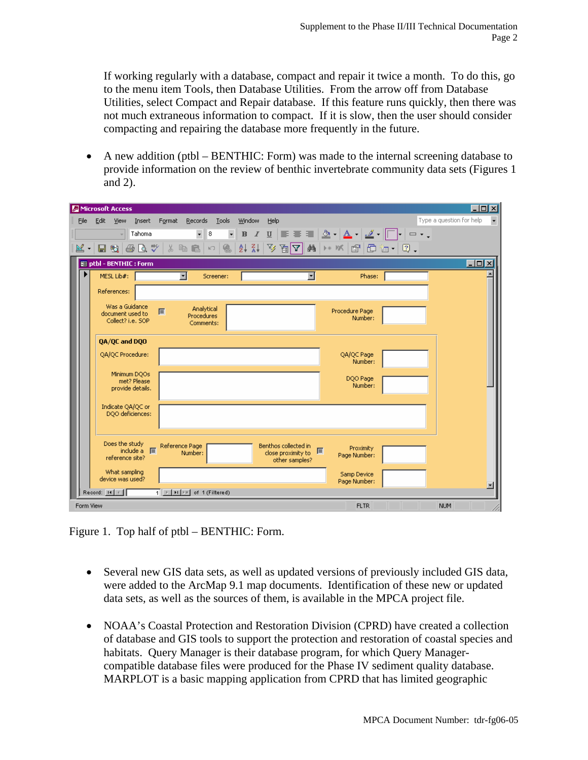If working regularly with a database, compact and repair it twice a month. To do this, go to the menu item Tools, then Database Utilities. From the arrow off from Database Utilities, select Compact and Repair database. If this feature runs quickly, then there was not much extraneous information to compact. If it is slow, then the user should consider compacting and repairing the database more frequently in the future.

• A new addition (ptbl – BENTHIC: Form) was made to the internal screening database to provide information on the review of benthic invertebrate community data sets (Figures 1 and 2).

|      | Microsoft Access                                        |                                                   |        |                                       |                               |        |      |                                                              |                                                                                                                                                                                                                                                                                                                     |                             |  |                          | $ \Box$ $\times$       |
|------|---------------------------------------------------------|---------------------------------------------------|--------|---------------------------------------|-------------------------------|--------|------|--------------------------------------------------------------|---------------------------------------------------------------------------------------------------------------------------------------------------------------------------------------------------------------------------------------------------------------------------------------------------------------------|-----------------------------|--|--------------------------|------------------------|
| File | Edit<br><b>View</b>                                     | Insert                                            | Format | Records                               | Tools                         | Window | Help |                                                              |                                                                                                                                                                                                                                                                                                                     |                             |  | Type a question for help |                        |
|      |                                                         | Tahoma                                            |        | $\bar{\phantom{a}}$                   | $\overline{\phantom{a}}$<br>8 |        |      |                                                              | <b>B</b> $I$ $\underline{\mathsf{U}}$ $\equiv$ $\underline{\mathsf{E}}$ $\underline{\mathsf{I}}$ $\underline{\mathsf{N}}$ $\cdot$ $\underline{\mathsf{A}}$ $\cdot$ $\underline{\mathsf{I}}$ $\cdot$ $\boxed{\square}$ $\cdot$ $\square$ $\cdot$ .                                                                   |                             |  |                          |                        |
| M.   | 围<br>н                                                  | $\oplus$ Q $\stackrel{\text{\tiny{def}}}{\smile}$ |        | 人生白                                   | 倡<br>$\mathbb{R}^m$           |        |      |                                                              | $\frac{1}{2}$ $\frac{1}{2}$ $\frac{1}{2}$ $\frac{1}{2}$ $\frac{1}{2}$ $\frac{1}{2}$ $\frac{1}{2}$ $\frac{1}{2}$ $\frac{1}{2}$ $\frac{1}{2}$ $\frac{1}{2}$ $\frac{1}{2}$ $\frac{1}{2}$ $\frac{1}{2}$ $\frac{1}{2}$ $\frac{1}{2}$ $\frac{1}{2}$ $\frac{1}{2}$ $\frac{1}{2}$ $\frac{1}{2}$ $\frac{1}{2}$ $\frac{1}{2}$ |                             |  |                          |                        |
|      | <b>BB</b> ptbl - BENTHIC : Form                         |                                                   |        |                                       |                               |        |      |                                                              |                                                                                                                                                                                                                                                                                                                     |                             |  |                          | $\Box$ $\Box$ $\times$ |
|      | MESL Lib#:                                              |                                                   |        | ▼                                     | Screener:                     |        |      | $\overline{ }$                                               |                                                                                                                                                                                                                                                                                                                     | Phase:                      |  |                          |                        |
|      | References:                                             |                                                   |        |                                       |                               |        |      |                                                              |                                                                                                                                                                                                                                                                                                                     |                             |  |                          |                        |
|      | Was a Guidance<br>document used to<br>Collect? i.e. SOP |                                                   | 屬      | Analytical<br>Procedures<br>Comments: |                               |        |      |                                                              | Procedure Page                                                                                                                                                                                                                                                                                                      | Number:                     |  |                          |                        |
|      | 0A/QC and DQO                                           |                                                   |        |                                       |                               |        |      |                                                              |                                                                                                                                                                                                                                                                                                                     |                             |  |                          |                        |
|      | QA/QC Procedure:                                        |                                                   |        |                                       |                               |        |      |                                                              |                                                                                                                                                                                                                                                                                                                     | QA/QC Page<br>Number:       |  |                          |                        |
|      | Minimum DQOs                                            | met? Please<br>provide details.                   |        |                                       |                               |        |      |                                                              |                                                                                                                                                                                                                                                                                                                     | DQO Page<br>Number:         |  |                          |                        |
|      |                                                         |                                                   |        |                                       |                               |        |      |                                                              |                                                                                                                                                                                                                                                                                                                     |                             |  |                          |                        |
|      | Indicate QA/QC or<br>DQO deficiences:                   |                                                   |        |                                       |                               |        |      |                                                              |                                                                                                                                                                                                                                                                                                                     |                             |  |                          |                        |
|      | Does the study<br>reference site?                       | include a <b>I</b>                                |        | Reference Page<br>Number:             |                               |        |      | Benthos collected in<br>close proximity to<br>other samples? | ■                                                                                                                                                                                                                                                                                                                   | Proximity<br>Page Number:   |  |                          |                        |
|      | What sampling<br>device was used?                       |                                                   |        |                                       |                               |        |      |                                                              |                                                                                                                                                                                                                                                                                                                     | Samp Device<br>Page Number: |  |                          |                        |
|      | Record: H   +                                           |                                                   |        | 1 E   FI   E   of 1 (Filtered)        |                               |        |      |                                                              |                                                                                                                                                                                                                                                                                                                     |                             |  |                          |                        |
|      | Form View                                               |                                                   |        |                                       |                               |        |      |                                                              |                                                                                                                                                                                                                                                                                                                     | <b>FLTR</b>                 |  | <b>NUM</b>               |                        |

Figure 1. Top half of ptbl – BENTHIC: Form.

- Several new GIS data sets, as well as updated versions of previously included GIS data, were added to the ArcMap 9.1 map documents. Identification of these new or updated data sets, as well as the sources of them, is available in the MPCA project file.
- NOAA's Coastal Protection and Restoration Division (CPRD) have created a collection of database and GIS tools to support the protection and restoration of coastal species and habitats. Query Manager is their database program, for which Query Managercompatible database files were produced for the Phase IV sediment quality database. MARPLOT is a basic mapping application from CPRD that has limited geographic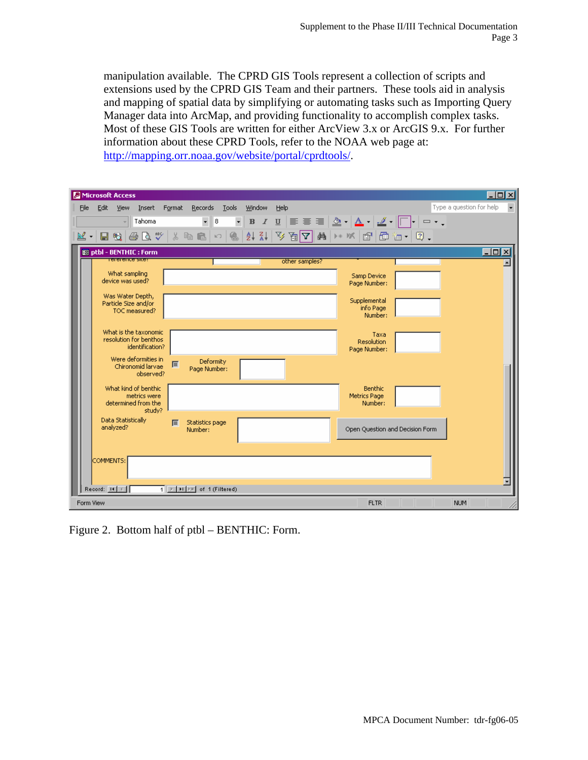manipulation available. The CPRD GIS Tools represent a collection of scripts and extensions used by the CPRD GIS Team and their partners. These tools aid in analysis and mapping of spatial data by simplifying or automating tasks such as Importing Query Manager data into ArcMap, and providing functionality to accomplish complex tasks. Most of these GIS Tools are written for either ArcView 3.x or ArcGIS 9.x. For further information about these CPRD Tools, refer to the NOAA web page at: http://mapping.orr.noaa.gov/website/portal/cprdtools/.

|      |             | Microsoft Access                                          |                        |        |                                |       |                     |        |      |                |                                                                      |      |  |                          |                 | $\Box$ ol xi             |
|------|-------------|-----------------------------------------------------------|------------------------|--------|--------------------------------|-------|---------------------|--------|------|----------------|----------------------------------------------------------------------|------|--|--------------------------|-----------------|--------------------------|
| File | Edit        | <b>View</b>                                               | Insert                 | Format | Records                        | Tools |                     | Window | Help |                |                                                                      |      |  | Type a question for help |                 | $\overline{\phantom{a}}$ |
|      |             |                                                           | Tahoma                 |        | $\mathbf{v} \parallel$ 8       |       | $\bar{\phantom{a}}$ |        |      |                |                                                                      |      |  |                          |                 |                          |
| ≝ -  |             |                                                           |                        |        |                                |       |                     |        |      |                | 日话 每五岁 太阳尼 -   9   2   2   4   4   7   2   8   2   2   8   2   8   2 |      |  |                          |                 |                          |
|      |             | 图 ptbl - BENTHIC : Form                                   |                        |        |                                |       |                     |        |      |                |                                                                      |      |  |                          | $\Box$ D $\Box$ |                          |
|      |             | rererence sice:                                           |                        |        |                                |       |                     |        |      | other samples? |                                                                      |      |  |                          |                 |                          |
|      |             | What sampling<br>device was used?                         |                        |        |                                |       |                     |        |      |                | Samp Device<br>Page Number:                                          |      |  |                          |                 |                          |
|      |             | Was Water Depth,<br>Particle Size and/or<br>TOC measured? |                        |        |                                |       |                     |        |      |                | Supplemental<br>info Page<br>Number:                                 |      |  |                          |                 |                          |
|      |             | What is the taxonomic<br>resolution for benthos           | identification?        |        |                                |       |                     |        |      |                | Resolution<br>Page Number:                                           | Taxa |  |                          |                 |                          |
|      |             | Were deformities in<br>Chironomid larvae                  | observed?              | 屬      | Deformity<br>Page Number:      |       |                     |        |      |                |                                                                      |      |  |                          |                 |                          |
|      |             | What kind of benthic<br>determined from the               | metrics were<br>study? |        |                                |       |                     |        |      |                | Benthic<br><b>Metrics Page</b><br>Number:                            |      |  |                          |                 |                          |
|      |             | Data Statistically<br>analyzed?                           |                        | 廖      | Statistics page<br>Number:     |       |                     |        |      |                | Open Question and Decision Form                                      |      |  |                          |                 |                          |
|      | COMMENTS:   |                                                           |                        |        |                                |       |                     |        |      |                |                                                                      |      |  |                          |                 |                          |
|      | Record: H 4 |                                                           |                        |        | 1 E   FI   E   of 1 (Filtered) |       |                     |        |      |                |                                                                      |      |  |                          |                 |                          |
|      | Form View   |                                                           |                        |        |                                |       |                     |        |      |                | <b>FLTR</b>                                                          |      |  | <b>NUM</b>               |                 |                          |

Figure 2. Bottom half of ptbl – BENTHIC: Form.